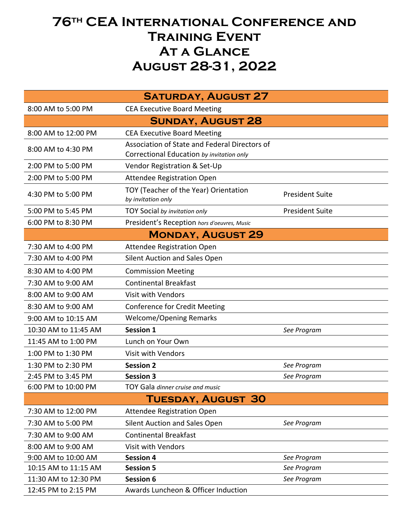## **76th CEA International Conference and Training Event At a Glance August 28-31, 2022**

| <b>SATURDAY, AUGUST 27</b> |                                                                                            |                        |  |
|----------------------------|--------------------------------------------------------------------------------------------|------------------------|--|
| 8:00 AM to 5:00 PM         | <b>CEA Executive Board Meeting</b>                                                         |                        |  |
| <b>SUNDAY, AUGUST 28</b>   |                                                                                            |                        |  |
| 8:00 AM to 12:00 PM        | <b>CEA Executive Board Meeting</b>                                                         |                        |  |
| 8:00 AM to 4:30 PM         | Association of State and Federal Directors of<br>Correctional Education by invitation only |                        |  |
| 2:00 PM to 5:00 PM         | Vendor Registration & Set-Up                                                               |                        |  |
| 2:00 PM to 5:00 PM         | <b>Attendee Registration Open</b>                                                          |                        |  |
| 4:30 PM to 5:00 PM         | TOY (Teacher of the Year) Orientation<br>by invitation only                                | <b>President Suite</b> |  |
| 5:00 PM to 5:45 PM         | TOY Social by invitation only                                                              | <b>President Suite</b> |  |
| 6:00 PM to 8:30 PM         | President's Reception hors d'oeuvres, Music                                                |                        |  |
| <b>MONDAY, AUGUST 29</b>   |                                                                                            |                        |  |
| 7:30 AM to 4:00 PM         | Attendee Registration Open                                                                 |                        |  |
| 7:30 AM to 4:00 PM         | Silent Auction and Sales Open                                                              |                        |  |
| 8:30 AM to 4:00 PM         | <b>Commission Meeting</b>                                                                  |                        |  |
| 7:30 AM to 9:00 AM         | <b>Continental Breakfast</b>                                                               |                        |  |
| 8:00 AM to 9:00 AM         | <b>Visit with Vendors</b>                                                                  |                        |  |
| 8:30 AM to 9:00 AM         | <b>Conference for Credit Meeting</b>                                                       |                        |  |
| 9:00 AM to 10:15 AM        | <b>Welcome/Opening Remarks</b>                                                             |                        |  |
| 10:30 AM to 11:45 AM       | Session 1                                                                                  | See Program            |  |
| 11:45 AM to 1:00 PM        | Lunch on Your Own                                                                          |                        |  |
| 1:00 PM to 1:30 PM         | <b>Visit with Vendors</b>                                                                  |                        |  |
| 1:30 PM to 2:30 PM         | <b>Session 2</b>                                                                           | See Program            |  |
| 2:45 PM to 3:45 PM         | <b>Session 3</b>                                                                           | See Program            |  |
| 6:00 PM to 10:00 PM        | TOY Gala dinner cruise and music                                                           |                        |  |
| TUESDAY, AUGUST 30         |                                                                                            |                        |  |
| 7:30 AM to 12:00 PM        | <b>Attendee Registration Open</b>                                                          |                        |  |
| 7:30 AM to 5:00 PM         | Silent Auction and Sales Open                                                              | See Program            |  |
| 7:30 AM to 9:00 AM         | <b>Continental Breakfast</b>                                                               |                        |  |
| 8:00 AM to 9:00 AM         | <b>Visit with Vendors</b>                                                                  |                        |  |
| 9:00 AM to 10:00 AM        | <b>Session 4</b>                                                                           | See Program            |  |
| 10:15 AM to 11:15 AM       | <b>Session 5</b>                                                                           | See Program            |  |
| 11:30 AM to 12:30 PM       | Session 6                                                                                  | See Program            |  |
| 12:45 PM to 2:15 PM        | Awards Luncheon & Officer Induction                                                        |                        |  |